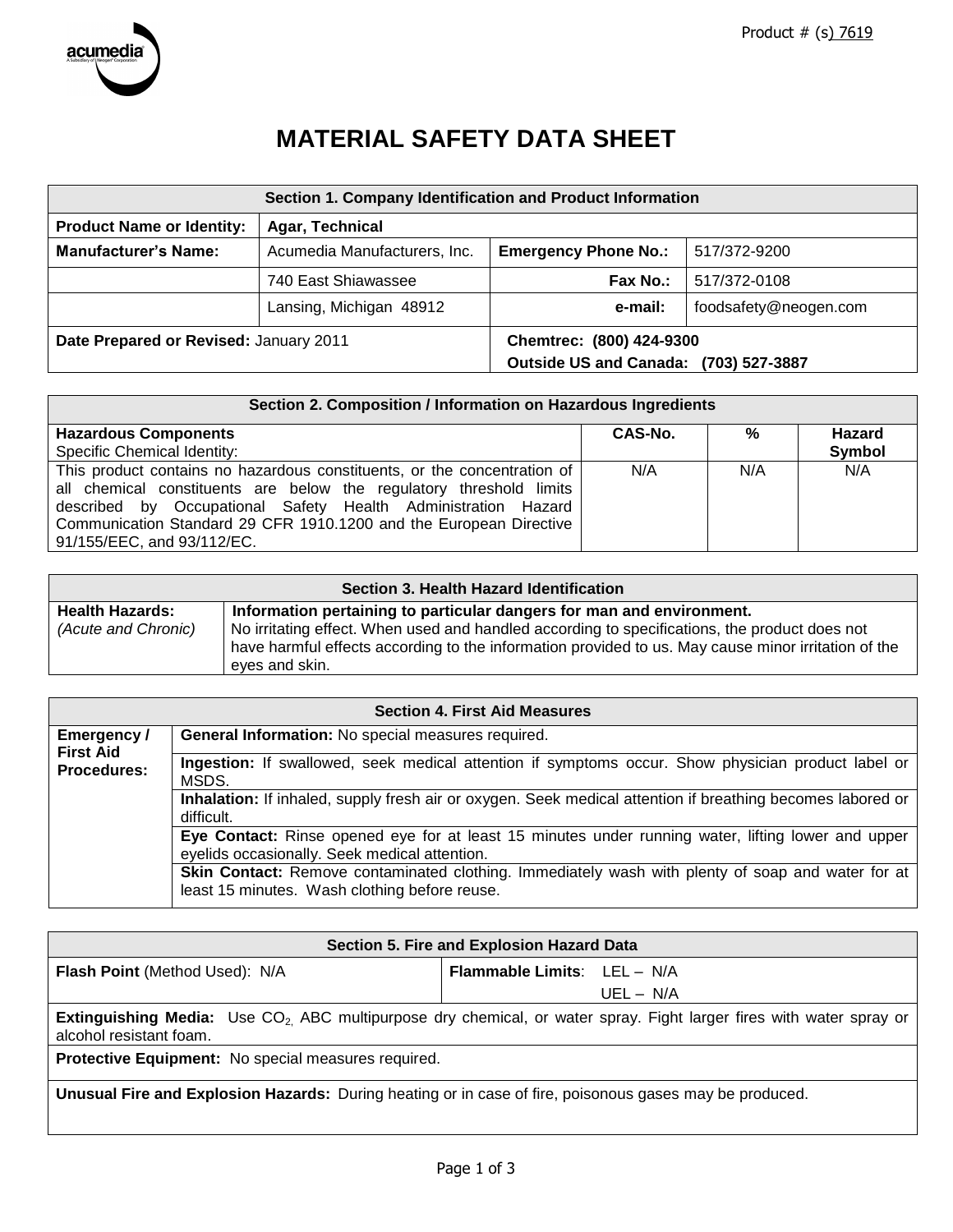

# **MATERIAL SAFETY DATA SHEET**

| Section 1. Company Identification and Product Information |                              |                                                                   |                       |
|-----------------------------------------------------------|------------------------------|-------------------------------------------------------------------|-----------------------|
| <b>Product Name or Identity:</b>                          | Agar, Technical              |                                                                   |                       |
| <b>Manufacturer's Name:</b>                               | Acumedia Manufacturers, Inc. | <b>Emergency Phone No.:</b>                                       | 517/372-9200          |
|                                                           | 740 East Shiawassee          | Fax No.:                                                          | 517/372-0108          |
|                                                           | Lansing, Michigan 48912      | e-mail:                                                           | foodsafety@neogen.com |
| Date Prepared or Revised: January 2011                    |                              | Chemtrec: (800) 424-9300<br>Outside US and Canada: (703) 527-3887 |                       |

| Section 2. Composition / Information on Hazardous Ingredients                                                                                                                                                                                                                                                        |         |     |               |  |
|----------------------------------------------------------------------------------------------------------------------------------------------------------------------------------------------------------------------------------------------------------------------------------------------------------------------|---------|-----|---------------|--|
| <b>Hazardous Components</b>                                                                                                                                                                                                                                                                                          | CAS-No. | %   | <b>Hazard</b> |  |
| Specific Chemical Identity:                                                                                                                                                                                                                                                                                          |         |     | Symbol        |  |
| This product contains no hazardous constituents, or the concentration of<br>all chemical constituents are below the regulatory threshold limits<br>described by Occupational Safety Health Administration Hazard<br>Communication Standard 29 CFR 1910.1200 and the European Directive<br>91/155/EEC, and 93/112/EC. | N/A     | N/A | N/A           |  |

| Section 3. Health Hazard Identification |                                                                                                                       |  |  |
|-----------------------------------------|-----------------------------------------------------------------------------------------------------------------------|--|--|
| <b>Health Hazards:</b>                  | Information pertaining to particular dangers for man and environment.                                                 |  |  |
| (Acute and Chronic)                     | No irritating effect. When used and handled according to specifications, the product does not                         |  |  |
|                                         | have harmful effects according to the information provided to us. May cause minor irritation of the<br>eves and skin. |  |  |

| <b>Section 4. First Aid Measures</b>   |                                                                                                                                                     |  |  |  |
|----------------------------------------|-----------------------------------------------------------------------------------------------------------------------------------------------------|--|--|--|
| Emergency /                            | General Information: No special measures required.                                                                                                  |  |  |  |
| <b>First Aid</b><br><b>Procedures:</b> | Ingestion: If swallowed, seek medical attention if symptoms occur. Show physician product label or<br>MSDS.                                         |  |  |  |
|                                        | Inhalation: If inhaled, supply fresh air or oxygen. Seek medical attention if breathing becomes labored or<br>difficult.                            |  |  |  |
|                                        | Eye Contact: Rinse opened eye for at least 15 minutes under running water, lifting lower and upper<br>eyelids occasionally. Seek medical attention. |  |  |  |
|                                        | Skin Contact: Remove contaminated clothing. Immediately wash with plenty of soap and water for at<br>least 15 minutes. Wash clothing before reuse.  |  |  |  |

| Section 5. Fire and Explosion Hazard Data                                                                                                                        |                                    |  |  |
|------------------------------------------------------------------------------------------------------------------------------------------------------------------|------------------------------------|--|--|
| <b>Flash Point (Method Used): N/A</b>                                                                                                                            | <b>Flammable Limits:</b> LEL - N/A |  |  |
|                                                                                                                                                                  | $UEL - N/A$                        |  |  |
| <b>Extinguishing Media:</b> Use CO <sub>2</sub> ABC multipurpose dry chemical, or water spray. Fight larger fires with water spray or<br>alcohol resistant foam. |                                    |  |  |
| Protective Equipment: No special measures required.                                                                                                              |                                    |  |  |
| Unusual Fire and Explosion Hazards: During heating or in case of fire, poisonous gases may be produced.                                                          |                                    |  |  |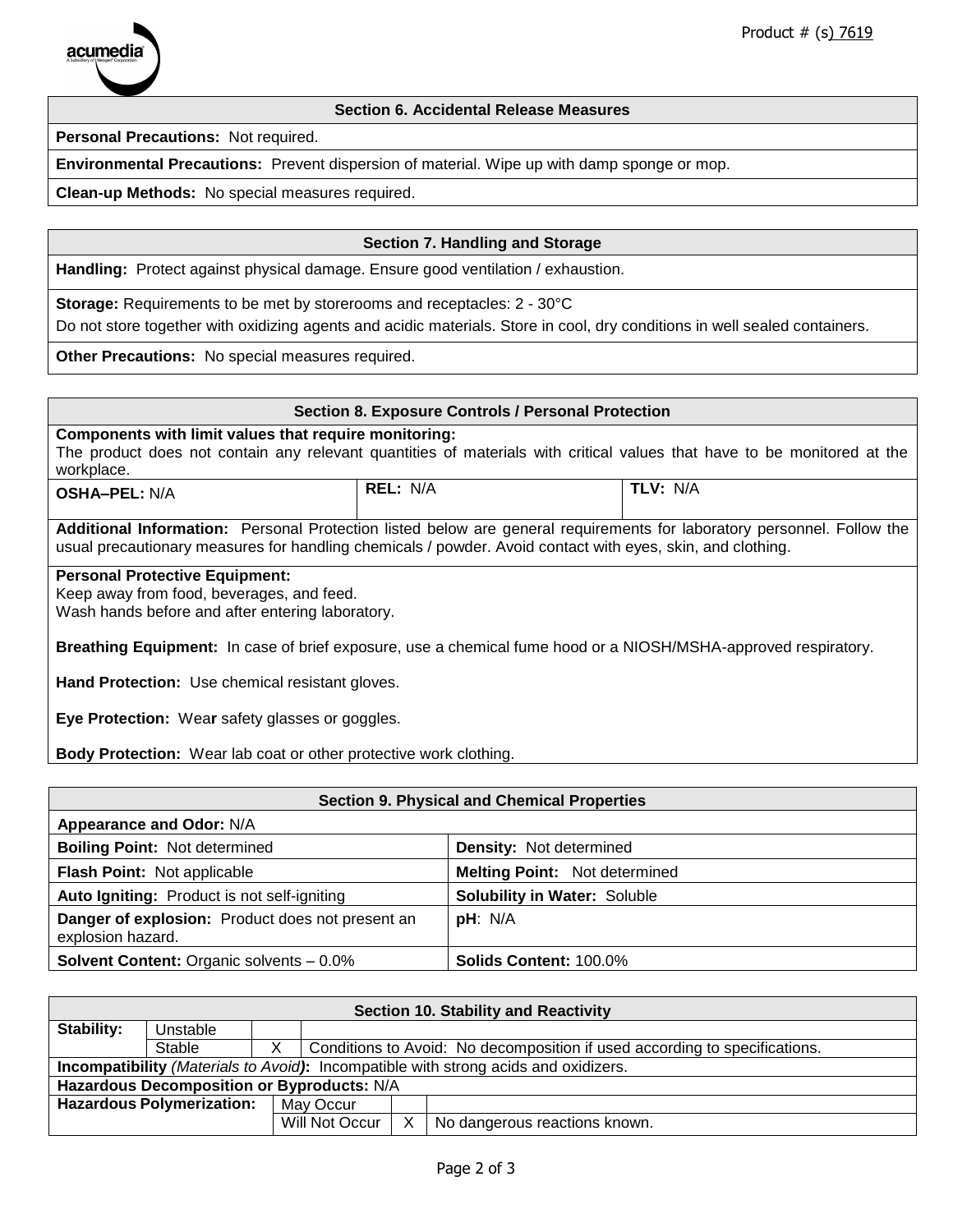

## **Section 6. Accidental Release Measures**

**Personal Precautions:** Not required.

**Environmental Precautions:** Prevent dispersion of material. Wipe up with damp sponge or mop.

**Clean-up Methods:** No special measures required.

## **Section 7. Handling and Storage**

**Handling:** Protect against physical damage. Ensure good ventilation / exhaustion.

**Storage:** Requirements to be met by storerooms and receptacles: 2 - 30°C

Do not store together with oxidizing agents and acidic materials. Store in cool, dry conditions in well sealed containers.

**Other Precautions:** No special measures required.

| <b>Section 8. Exposure Controls / Personal Protection</b>                                                                                                                                                                            |  |  |  |  |
|--------------------------------------------------------------------------------------------------------------------------------------------------------------------------------------------------------------------------------------|--|--|--|--|
| Components with limit values that require monitoring:<br>The product does not contain any relevant quantities of materials with critical values that have to be monitored at the<br>workplace.                                       |  |  |  |  |
| REL: N/A<br>TLV: N/A<br><b>OSHA-PEL: N/A</b>                                                                                                                                                                                         |  |  |  |  |
| Additional Information: Personal Protection listed below are general requirements for laboratory personnel. Follow the<br>usual precautionary measures for handling chemicals / powder. Avoid contact with eyes, skin, and clothing. |  |  |  |  |
| <b>Personal Protective Equipment:</b><br>Keep away from food, beverages, and feed.<br>Wash hands before and after entering laboratory.                                                                                               |  |  |  |  |
| Breathing Equipment: In case of brief exposure, use a chemical fume hood or a NIOSH/MSHA-approved respiratory.                                                                                                                       |  |  |  |  |
| <b>Hand Protection:</b> Use chemical resistant gloves.                                                                                                                                                                               |  |  |  |  |
| Eye Protection: Wear safety glasses or goggles.                                                                                                                                                                                      |  |  |  |  |

**Body Protection:** Wear lab coat or other protective work clothing.

| <b>Section 9. Physical and Chemical Properties</b>                    |                                      |  |
|-----------------------------------------------------------------------|--------------------------------------|--|
| Appearance and Odor: N/A                                              |                                      |  |
| <b>Boiling Point: Not determined</b>                                  | <b>Density: Not determined</b>       |  |
| Flash Point: Not applicable                                           | <b>Melting Point: Not determined</b> |  |
| Auto Igniting: Product is not self-igniting                           | <b>Solubility in Water: Soluble</b>  |  |
| Danger of explosion: Product does not present an<br>explosion hazard. | pH: N/A                              |  |
| <b>Solvent Content: Organic solvents - 0.0%</b>                       | <b>Solids Content: 100.0%</b>        |  |

| Section 10. Stability and Reactivity                                                       |          |  |                                                                            |   |                               |
|--------------------------------------------------------------------------------------------|----------|--|----------------------------------------------------------------------------|---|-------------------------------|
| Stability:                                                                                 | Unstable |  |                                                                            |   |                               |
|                                                                                            | Stable   |  | Conditions to Avoid: No decomposition if used according to specifications. |   |                               |
| <b>Incompatibility</b> (Materials to Avoid): Incompatible with strong acids and oxidizers. |          |  |                                                                            |   |                               |
| Hazardous Decomposition or Byproducts: N/A                                                 |          |  |                                                                            |   |                               |
| <b>Hazardous Polymerization:</b><br>May Occur                                              |          |  |                                                                            |   |                               |
|                                                                                            |          |  | Will Not Occur                                                             | X | No dangerous reactions known. |